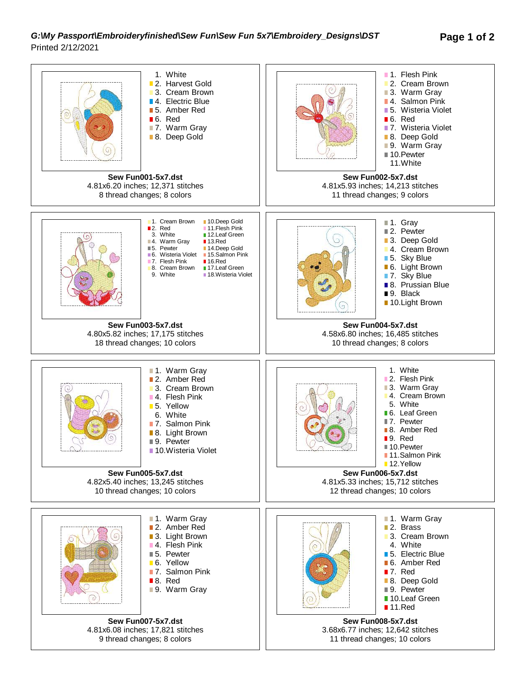## *G:\My Passport\Embroideryfinished\Sew Fun\Sew Fun 5x7\Embroidery\_Designs\DST* **Page 1 of 2** Printed 2/12/2021